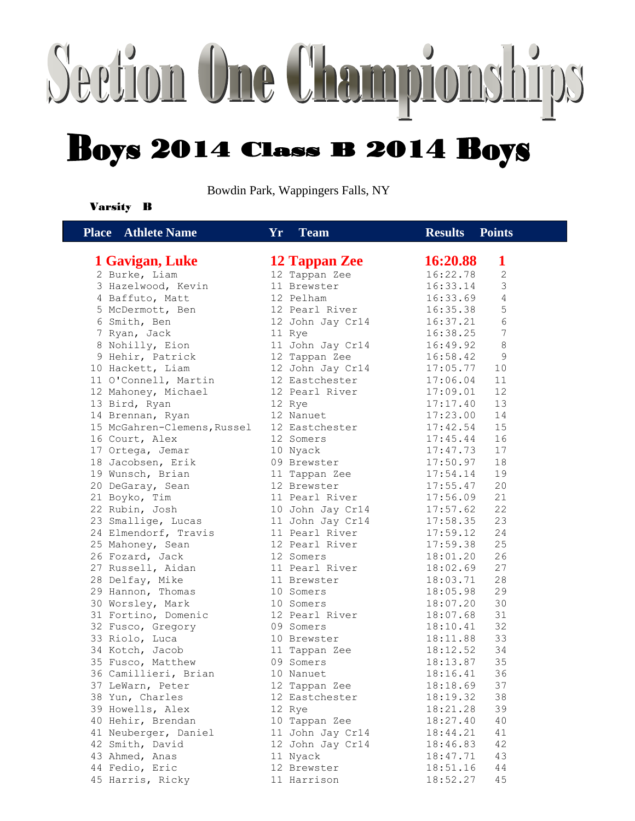## Section One Championships **Boys 2014 Class B 2014 Boys**

Bowdin Park, Wappingers Falls, NY

### Varsity B

| <b>Place</b> Athlete Name   | <b>Yr</b><br><b>Team</b> | <b>Results</b><br><b>Points</b> |
|-----------------------------|--------------------------|---------------------------------|
| 1 Gavigan, Luke             | 12 Tappan Zee            | 16:20.88<br>1                   |
| 2 Burke, Liam               | 12 Tappan Zee            | $\mathbf{2}$<br>16:22.78        |
| 3 Hazelwood, Kevin          | 11 Brewster              | 3<br>16:33.14                   |
| 4 Baffuto, Matt             | 12 Pelham                | $\sqrt{4}$<br>16:33.69          |
| 5 McDermott, Ben            | 12 Pearl River           | 5<br>16:35.38                   |
| 6 Smith, Ben                | 12 John Jay Cr14         | $\sqrt{6}$<br>16:37.21          |
| 7 Ryan, Jack                | 11 Rye                   | 7<br>16:38.25                   |
| 8 Nohilly, Eion             | 11 John Jay Cr14         | 16:49.92<br>8                   |
| 9 Hehir, Patrick            | 12 Tappan Zee            | 16:58.42<br>9                   |
| 10 Hackett, Liam            | 12 John Jay Cr14         | 17:05.77<br>10                  |
| 11 O'Connell, Martin        | 12 Eastchester           | 11<br>17:06.04                  |
| 12 Mahoney, Michael         | 12 Pearl River           | 12<br>17:09.01                  |
| 13 Bird, Ryan               | 12 Rye                   | 13<br>17:17.40                  |
| 14 Brennan, Ryan            | 12 Nanuet                | 17:23.00<br>14                  |
| 15 McGahren-Clemens, Russel | 12 Eastchester           | 17:42.54<br>15                  |
| 16 Court, Alex              | 12 Somers                | 17:45.44<br>16                  |
| 17 Ortega, Jemar            | 10 Nyack                 | 17:47.73<br>17                  |
| 18 Jacobsen, Erik           | 09 Brewster              | 18<br>17:50.97                  |
| 19 Wunsch, Brian            | 11 Tappan Zee            | 17:54.14<br>19                  |
| 20 DeGaray, Sean            | 12 Brewster              | 20<br>17:55.47                  |
| 21 Boyko, Tim               | 11 Pearl River           | 21<br>17:56.09                  |
| 22 Rubin, Josh              | 10 John Jay Cr14         | 22<br>17:57.62                  |
| 23 Smallige, Lucas          | 11 John Jay Cr14         | 23<br>17:58.35                  |
| 24 Elmendorf, Travis        | 11 Pearl River           | 17:59.12<br>24                  |
| 25 Mahoney, Sean            | 12 Pearl River           | 17:59.38<br>25                  |
| 26 Fozard, Jack             | 12 Somers                | 26<br>18:01.20                  |
| 27 Russell, Aidan           | 11 Pearl River           | 27<br>18:02.69                  |
| 28 Delfay, Mike             | 11 Brewster              | 28<br>18:03.71                  |
| 29 Hannon, Thomas           | 10 Somers                | 29<br>18:05.98                  |
| 30 Worsley, Mark            | 10 Somers                | 30<br>18:07.20                  |
| 31 Fortino, Domenic         | 12 Pearl River           | 31<br>18:07.68                  |
| 32 Fusco, Gregory           | 09 Somers                | 32<br>18:10.41                  |
| 33 Riolo, Luca              | 10 Brewster              | 18:11.88<br>33                  |
| 34 Kotch, Jacob             | 11 Tappan Zee            | 18:12.52<br>34                  |
| 35 Fusco, Matthew           | 09 Somers                | 35<br>18:13.87                  |
| 36 Camillieri, Brian        | 10 Nanuet                | 36<br>18:16.41                  |
| 37 LeWarn, Peter            | 12 Tappan Zee            | 18:18.69<br>37                  |
| 38 Yun, Charles             | 12 Eastchester           | 18:19.32<br>38                  |
| 39 Howells, Alex            | 12 Rye                   | 39<br>18:21.28                  |
| 40 Hehir, Brendan           | 10 Tappan Zee            | 18:27.40<br>40                  |
| 41 Neuberger, Daniel        | 11 John Jay Cr14         | 41<br>18:44.21                  |
| 42 Smith, David             | 12 John Jay Cr14         | 18:46.83<br>42                  |
| 43 Ahmed, Anas              | 11 Nyack                 | 18:47.71<br>43                  |
| 44 Fedio, Eric              | 12 Brewster              | 18:51.16<br>44                  |
| 45 Harris, Ricky            | 11 Harrison              | 18:52.27<br>45                  |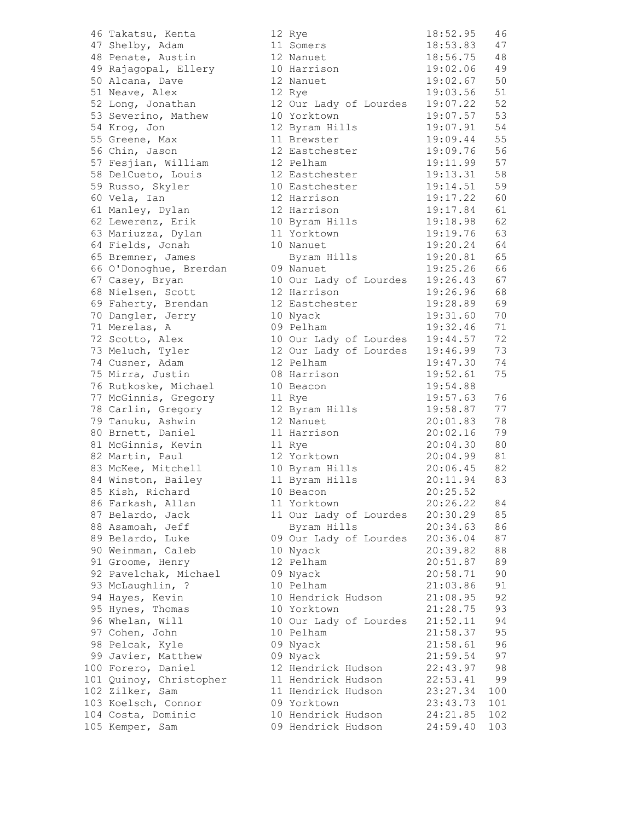46 Takatsu, Kenta 47 Shelby, Adam 48 Penate, Austin 49 Rajagopal, Ellery 50 Alcana, Dave 51 Neave, Alex 52 Long, Jonathan 53 Severino, Mathew 54 Krog, Jon 55 Greene, Max 56 Chin, Jason 57 Fesjian, William 58 DelCueto, Louis 59 Russo, Skyler 60 Vela, Ian 61 Manley, Dylan 62 Lewerenz, Erik 63 Mariuzza, Dylan 64 Fields, Jonah 65 Bremner, James 66 O'Donoghue, Brerdan 67 Casey, Bryan 68 Nielsen, Scott 69 Faherty, Brendan 70 Dangler, Jerry 71 Merelas, A 72 Scotto, Alex 73 Meluch, Tyler 74 Cusner, Adam 75 Mirra, Justin 76 Rutkoske, Michael 77 McGinnis, Gregory 78 Carlin, Gregory 79 Tanuku, Ashwin 80 Brnett, Daniel 81 McGinnis, Kevin 82 Martin, Paul 83 McKee, Mitchell 84 Winston, Bailey 85 Kish, Richard 86 Farkash, Allan 87 Belardo, Jack 88 Asamoah, Jeff 89 Belardo, Luke 90 Weinman, Caleb 91 Groome, Henry 92 Pavelchak, Michael 93 McLaughlin, ? 94 Hayes, Kevin 95 Hynes, Thomas 96 Whelan, Will 97 Cohen, John 98 Pelcak, Kyle 99 Javier, Matthew 100 Forero, Daniel 101 Quinoy, Christopher 102 Zilker, Sam 103 Koelsch, Connor 104 Costa, Dominic 105 Kemper, Sam

| 12      |                     | 18:52.95 | 46  |
|---------|---------------------|----------|-----|
|         | Rye                 |          |     |
|         | 11 Somers           | 18:53.83 | 47  |
|         | 12 Nanuet           | 18:56.75 | 48  |
|         | 10 Harrison         | 19:02.06 | 49  |
| 12      | Nanuet              | 19:02.67 | 50  |
| 12      | Rye                 | 19:03.56 | 51  |
| 12      | Our Lady of Lourdes | 19:07.22 | 52  |
|         |                     |          |     |
| 10      | Yorktown            | 19:07.57 | 53  |
| 12      | Byram Hills         | 19:07.91 | 54  |
| 11      | Brewster            | 19:09.44 | 55  |
| $12 \,$ | Eastchester         | 19:09.76 | 56  |
|         | 12 Pelham           | 19:11.99 | 57  |
| 12      | Eastchester         | 19:13.31 | 58  |
| 10      | Eastchester         | 19:14.51 | 59  |
|         |                     |          |     |
| 12      | Harrison            | 19:17.22 | 60  |
| 12      | Harrison            | 19:17.84 | 61  |
| 10      | Byram Hills         | 19:18.98 | 62  |
| 11      | Yorktown            | 19:19.76 | 63  |
| 10      | Nanuet              | 19:20.24 | 64  |
|         | Byram Hills         | 19:20.81 | 65  |
|         | 09 Nanuet           | 19:25.26 | 66  |
|         |                     |          |     |
| 10      | Our Lady of Lourdes | 19:26.43 | 67  |
| 12      | Harrison            | 19:26.96 | 68  |
| 12      | Eastchester         | 19:28.89 | 69  |
| 10      | Nyack               | 19:31.60 | 70  |
| C C     | Pelham              | 19:32.46 | 71  |
| 10      | Our Lady of Lourdes | 19:44.57 | 72  |
|         |                     |          |     |
| 12      | Our Lady of Lourdes | 19:46.99 | 73  |
| 12      | Pelham              | 19:47.30 | 74  |
| 80      | Harrison            | 19:52.61 | 75  |
| 10      | Beacon              | 19:54.88 |     |
| 11      | Rye                 | 19:57.63 | 76  |
| 12      | Byram Hills         | 19:58.87 | 77  |
| 12      | Nanuet              | 20:01.83 | 78  |
| 11      | Harrison            | 20:02.16 | 79  |
|         | 11 Rye              | 20:04.30 | 80  |
|         | 12 Yorktown         |          |     |
|         |                     | 20:04.99 | 81  |
|         | 10 Byram Hills      | 20:06.45 | 82  |
|         | 11 Byram Hills      | 20:11.94 | 83  |
|         | 10 Beacon           | 20:25.52 |     |
|         | 11 Yorktown         | 20:26.22 | 84  |
| 11      | Our Lady of Lourdes | 20:30.29 | 85  |
|         | Byram Hills         | 20:34.63 | 86  |
| C C     | Our Lady of Lourdes | 20:36.04 | 87  |
|         |                     |          |     |
| 10      | Nyack               | 20:39.82 | 88  |
| 12      | Pelham              | 20:51.87 | 89  |
| C C     | Nyack               | 20:58.71 | 90  |
| 10      | Pelham              | 21:03.86 | 91  |
| 10      | Hendrick Hudson     | 21:08.95 | 92  |
| 10      | Yorktown            | 21:28.75 | 93  |
| 10      | Our Lady of Lourdes | 21:52.11 | 94  |
|         |                     | 21:58.37 | 95  |
| $10 \,$ | Pelham              |          |     |
| C C     | Nyack               | 21:58.61 | 96  |
| C C     | Nyack               | 21:59.54 | 97  |
| 12      | Hendrick Hudson     | 22:43.97 | 98  |
| 11      | Hendrick Hudson     | 22:53.41 | 99  |
| 11      | Hendrick Hudson     | 23:27.34 | 100 |
| C C     | Yorktown            | 23:43.73 | 101 |
| 10      | Hendrick Hudson     | 24:21.85 | 102 |
| ງ 9     | Hendrick Hudson     | 24:59.40 | 103 |
|         |                     |          |     |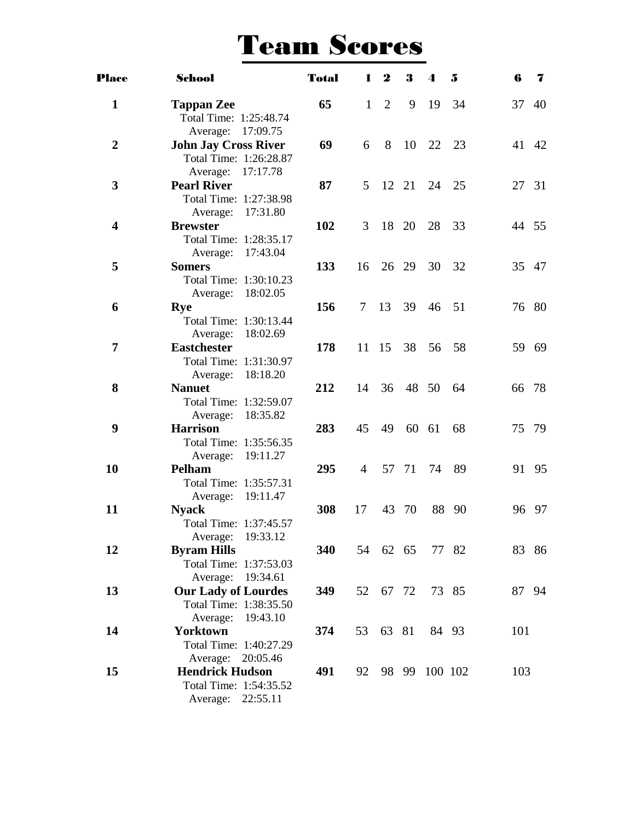### Team Scores

| <b>Place</b>            | School                                                                                     | <b>Total</b> | L              | $\boldsymbol{2}$ | 3     | $\boldsymbol{\Lambda}$ | 5     | 6     | 7     |
|-------------------------|--------------------------------------------------------------------------------------------|--------------|----------------|------------------|-------|------------------------|-------|-------|-------|
| $\mathbf{1}$            | <b>Tappan Zee</b><br>Total Time: 1:25:48.74                                                | 65           | $\mathbf{1}$   | 2                | 9     | -19                    | 34    | 37 40 |       |
| $\overline{2}$          | Average: 17:09.75<br><b>John Jay Cross River</b><br>Total Time: 1:26:28.87                 | 69           | 6              | 8                | -10   | 22 23                  |       | 41 42 |       |
| 3                       | Average: 17:17.78<br><b>Pearl River</b><br>Total Time: 1:27:38.98                          | 87           | 5 <sup>5</sup> |                  | 12 21 |                        | 24 25 | 27 31 |       |
| $\overline{\mathbf{4}}$ | 17:31.80<br>Average:<br><b>Brewster</b><br>Total Time: 1:28:35.17                          | 102          | 3              |                  | 18 20 | 28 33                  |       | 44 55 |       |
| 5                       | Average: 17:43.04<br><b>Somers</b><br>Total Time: 1:30:10.23                               | 133          | 16             |                  | 26 29 | 30                     | 32    | 35 47 |       |
| 6                       | Average: 18:02.05<br><b>Rye</b><br>Total Time: 1:30:13.44                                  | 156          | $\tau$         | 13               | 39    | 46                     | 51    | 76 80 |       |
| $\overline{7}$          | 18:02.69<br>Average:<br><b>Eastchester</b><br>Total Time: 1:31:30.97                       | 178          |                | 11 15 38         |       |                        | 56 58 | 59 69 |       |
| 8                       | 18:18.20<br>Average:<br><b>Nanuet</b><br>Total Time: 1:32:59.07                            | 212          | 14             |                  |       | 36 48 50               | - 64  | 66 78 |       |
| 9                       | Average: 18:35.82<br><b>Harrison</b><br>Total Time: 1:35:56.35                             | 283          | 45             | 49               |       | 60 61                  | 68    | 75 79 |       |
| 10                      | Average: 19:11.27<br><b>Pelham</b><br>Total Time: 1:35:57.31                               | 295          | $\overline{4}$ |                  | 57 71 | 74                     | 89    | 91 95 |       |
| 11                      | 19:11.47<br>Average:<br><b>Nyack</b><br>Total Time: 1:37:45.57                             | 308          | 17             | 43               | - 70  |                        | 88 90 |       | 96 97 |
| 12                      | Average: 19:33.12<br><b>Byram Hills</b><br>Total Time: 1:37:53.03                          | 340          |                | 54 62 65         |       |                        | 77 82 | 83 86 |       |
| 13                      | Average: 19:34.61<br><b>Our Lady of Lourdes</b><br>Total Time: 1:38:35.50                  | 349          |                | 52 67 72         |       |                        | 73 85 | 87 94 |       |
| 14                      | Average:<br>19:43.10<br><b>Yorktown</b><br>Total Time: 1:40:27.29                          | 374          | 53             |                  | 63 81 |                        | 84 93 | 101   |       |
| 15                      | Average: 20:05.46<br><b>Hendrick Hudson</b><br>Total Time: 1:54:35.52<br>Average: 22:55.11 | 491          |                |                  |       | 92 98 99 100 102       |       | 103   |       |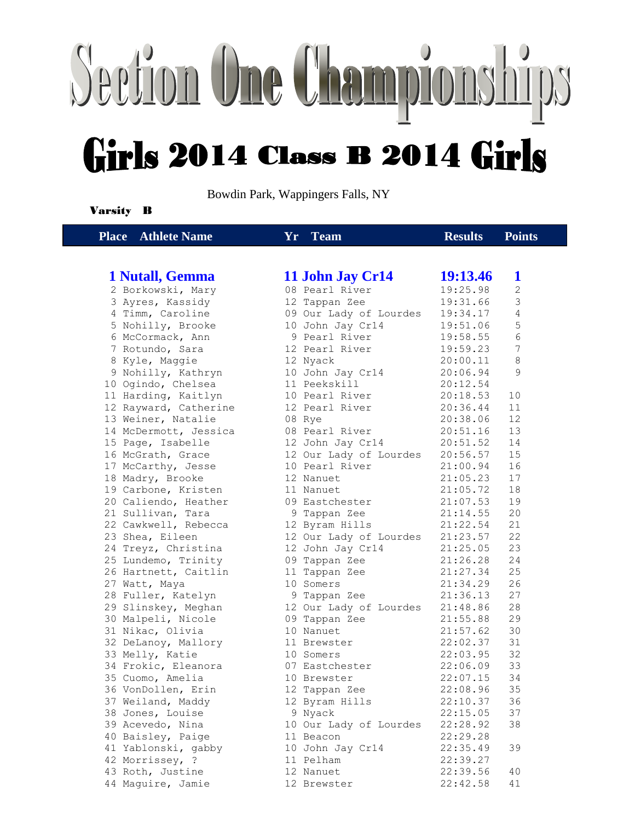# Section One Championships Girls 2014 Class B 2014 Girls

Bowdin Park, Wappingers Falls, NY

### Varsity B

| <b>Place</b> Athlete Name | Yr Team                | <b>Results</b>  | <b>Points</b>  |
|---------------------------|------------------------|-----------------|----------------|
|                           |                        |                 |                |
| 1 Nutall, Gemma           | 11 John Jay Cr14       | <b>19:13.46</b> | 1              |
| 2 Borkowski, Mary         | 08 Pearl River         | 19:25.98        | 2              |
| 3 Ayres, Kassidy          | 12 Tappan Zee          | 19:31.66        | 3              |
| 4 Timm, Caroline          | 09 Our Lady of Lourdes | 19:34.17        | $\overline{4}$ |
| 5 Nohilly, Brooke         | 10 John Jay Cr14       | 19:51.06        | 5              |
| 6 McCormack, Ann          | 9 Pearl River          | 19:58.55        | 6              |
| 7 Rotundo, Sara           | 12 Pearl River         | 19:59.23        | 7              |
| 8 Kyle, Maggie            | 12 Nyack               | 20:00.11        | 8              |
| 9 Nohilly, Kathryn        | 10 John Jay Cr14       | 20:06.94        | 9              |
| 10 Ogindo, Chelsea        | 11 Peekskill           | 20:12.54        |                |
| 11 Harding, Kaitlyn       | 10 Pearl River         | 20:18.53        | 10             |
| 12 Rayward, Catherine     | 12 Pearl River         | 20:36.44        | 11             |
| 13 Weiner, Natalie        | 08 Rye                 | 20:38.06        | 12             |
| 14 McDermott, Jessica     | 08 Pearl River         | 20:51.16        | 13             |
| 15 Page, Isabelle         | 12 John Jay Cr14       | 20:51.52        | 14             |
| 16 McGrath, Grace         | 12 Our Lady of Lourdes | 20:56.57        | 15             |
| 17 McCarthy, Jesse        | 10 Pearl River         | 21:00.94        | 16             |
| 18 Madry, Brooke          | 12 Nanuet              | 21:05.23        | 17             |
| 19 Carbone, Kristen       | 11 Nanuet              | 21:05.72        | 18             |
| 20 Caliendo, Heather      | 09 Eastchester         | 21:07.53        | 19             |
| 21 Sullivan, Tara         | 9 Tappan Zee           | 21:14.55        | 20             |
| 22 Cawkwell, Rebecca      | 12 Byram Hills         | 21:22.54        | 21             |
| 23 Shea, Eileen           | 12 Our Lady of Lourdes | 21:23.57        | 22             |
| 24 Treyz, Christina       | 12 John Jay Cr14       | 21:25.05        | 23             |
| 25 Lundemo, Trinity       | 09 Tappan Zee          | 21:26.28        | 24             |
| 26 Hartnett, Caitlin      | 11 Tappan Zee          | 21:27.34        | 25             |
| 27 Watt, Maya             | 10 Somers              | 21:34.29        | 26             |
| 28 Fuller, Katelyn        | 9 Tappan Zee           | 21:36.13        | 27             |
| 29 Slinskey, Meghan       | 12 Our Lady of Lourdes | 21:48.86        | 28             |
| 30 Malpeli, Nicole        | 09 Tappan Zee          | 21:55.88        | 29             |
| 31 Nikac, Olivia          | 10 Nanuet              | 21:57.62        | 30             |
| 32 DeLanoy, Mallory       | 11 Brewster            | 22:02.37        | 31             |
| 33 Melly, Katie           | 10 Somers              | 22:03.95        | 32             |
| 34 Frokic, Eleanora       | 07 Eastchester         | 22:06.09        | 33             |
| 35 Cuomo, Amelia          | 10 Brewster            | 22:07.15        | 34             |
| 36 VonDollen, Erin        | 12 Tappan Zee          | 22:08.96        | 35             |
| 37 Weiland, Maddy         | 12 Byram Hills         | 22:10.37        | 36             |
| 38 Jones, Louise          | 9 Nyack                | 22:15.05        | 37             |
| 39 Acevedo, Nina          | 10 Our Lady of Lourdes | 22:28.92        | 38             |
| 40 Baisley, Paige         | 11 Beacon              | 22:29.28        |                |
| 41 Yablonski, gabby       | 10 John Jay Cr14       | 22:35.49        | 39             |
| 42 Morrissey, ?           | 11 Pelham              | 22:39.27        |                |
| 43 Roth, Justine          | 12 Nanuet              | 22:39.56        | 40             |
| 44 Maquire, Jamie         | 12 Brewster            | 22:42.58        | 41             |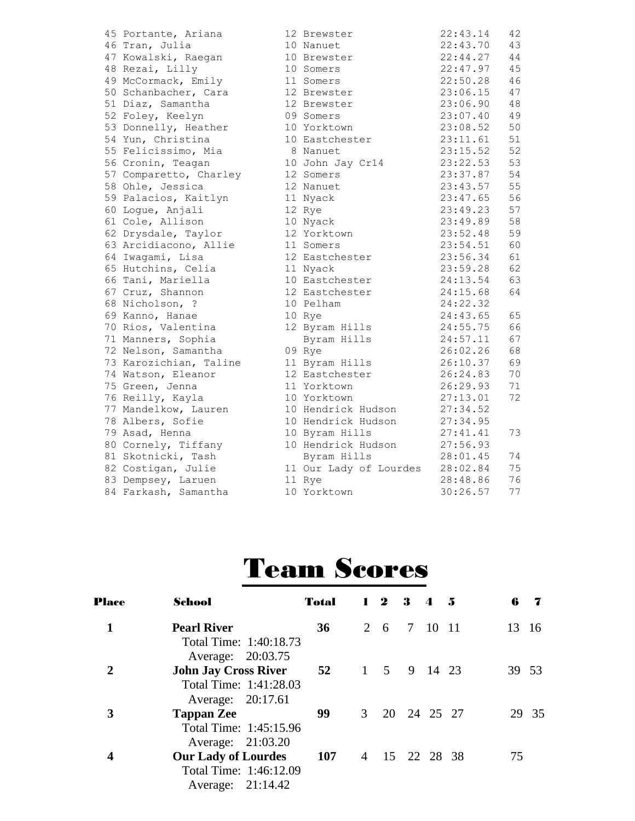| 45 Portante, Ariana    | 12 Brewster            | 22:43.14 | 42 |
|------------------------|------------------------|----------|----|
| 46 Tran, Julia         | 10 Nanuet              | 22:43.70 | 43 |
| 47 Kowalski, Raegan    | 10 Brewster            | 22:44.27 | 44 |
| 48 Rezai, Lilly        | 10 Somers              | 22:47.97 | 45 |
| 49 McCormack, Emily    | 11 Somers              | 22:50.28 | 46 |
| 50 Schanbacher, Cara   | 12 Brewster            | 23:06.15 | 47 |
| 51 Diaz, Samantha      | 12 Brewster            | 23:06.90 | 48 |
| 52 Foley, Keelyn       | 09 Somers              | 23:07.40 | 49 |
| 53 Donnelly, Heather   | 10 Yorktown            | 23:08.52 | 50 |
| 54 Yun, Christina      | 10 Eastchester         | 23:11.61 | 51 |
| 55 Felicissimo, Mia    | 8 Nanuet               | 23:15.52 | 52 |
| 56 Cronin, Teagan      | 10 John Jay Cr14       | 23:22.53 | 53 |
| 57 Comparetto, Charley | 12 Somers              | 23:37.87 | 54 |
| 58 Ohle, Jessica       | 12 Nanuet              | 23:43.57 | 55 |
| 59 Palacios, Kaitlyn   | 11 Nyack               | 23:47.65 | 56 |
| 60 Logue, Anjali       | 12 Rye                 | 23:49.23 | 57 |
| 61 Cole, Allison       | 10 Nyack               | 23:49.89 | 58 |
| 62 Drysdale, Taylor    | 12 Yorktown            | 23:52.48 | 59 |
| 63 Arcidiacono, Allie  | 11 Somers              | 23:54.51 | 60 |
| 64 Iwagami, Lisa       | 12 Eastchester         | 23:56.34 | 61 |
| 65 Hutchins, Celia     | 11 Nyack               | 23:59.28 | 62 |
| 66 Tani, Mariella      | 10 Eastchester         | 24:13.54 | 63 |
| 67 Cruz, Shannon       | 12 Eastchester         | 24:15.68 | 64 |
| 68 Nicholson, ?        | 10 Pelham              | 24:22.32 |    |
| 69 Kanno, Hanae        | 10 Rye                 | 24:43.65 | 65 |
| 70 Rios, Valentina     | 12 Byram Hills         | 24:55.75 | 66 |
| 71 Manners, Sophia     | Byram Hills            | 24:57.11 | 67 |
| 72 Nelson, Samantha    | 09 Rye                 | 26:02.26 | 68 |
| 73 Karozichian, Taline | 11 Byram Hills         | 26:10.37 | 69 |
| 74 Watson, Eleanor     | 12 Eastchester         | 26:24.83 | 70 |
| 75 Green, Jenna        | 11 Yorktown            | 26:29.93 | 71 |
| 76 Reilly, Kayla       | 10 Yorktown            | 27:13.01 | 72 |
| 77 Mandelkow, Lauren   | 10 Hendrick Hudson     | 27:34.52 |    |
| 78 Albers, Sofie       | 10 Hendrick Hudson     | 27:34.95 |    |
| 79 Asad, Henna         | 10 Byram Hills         | 27:41.41 | 73 |
| 80 Cornely, Tiffany    | 10 Hendrick Hudson     | 27:56.93 |    |
| 81 Skotnicki, Tash     | Byram Hills            | 28:01.45 | 74 |
| 82 Costigan, Julie     | 11 Our Lady of Lourdes | 28:02.84 | 75 |
| 83 Dempsey, Laruen     | 11 Rye                 | 28:48.86 | 76 |
| 84 Farkash, Samantha   | 10 Yorktown            | 30:26.57 | 77 |

## Team Scores

| <b>Place</b> | School                      | <b>Total</b> |   | $1\quad 2$    | 3           | $\boldsymbol{\Lambda}$ | - 5 | 6  | 7     |
|--------------|-----------------------------|--------------|---|---------------|-------------|------------------------|-----|----|-------|
|              | <b>Pearl River</b>          | 36           |   | 2 6           | 7           | 10                     | -11 | 13 | 16    |
|              | Total Time: 1:40:18.73      |              |   |               |             |                        |     |    |       |
|              | Average: 20:03.75           |              |   |               |             |                        |     |    |       |
| 2            | <b>John Jay Cross River</b> | 52           |   | $1 \quad 5$   |             | 9 14 23                |     | 39 | 53    |
|              | Total Time: 1:41:28.03      |              |   |               |             |                        |     |    |       |
|              | Average: 20:17.61           |              |   |               |             |                        |     |    |       |
| 3            | <b>Tappan Zee</b>           | 99           | 3 |               | 20 24 25 27 |                        |     |    | 29 35 |
|              | Total Time: 1:45:15.96      |              |   |               |             |                        |     |    |       |
|              | Average: 21:03.20           |              |   |               |             |                        |     |    |       |
| 4            | <b>Our Lady of Lourdes</b>  | 107          |   | 4 15 22 28 38 |             |                        |     | 75 |       |
|              | Total Time: 1:46:12.09      |              |   |               |             |                        |     |    |       |
|              | Average: 21:14.42           |              |   |               |             |                        |     |    |       |